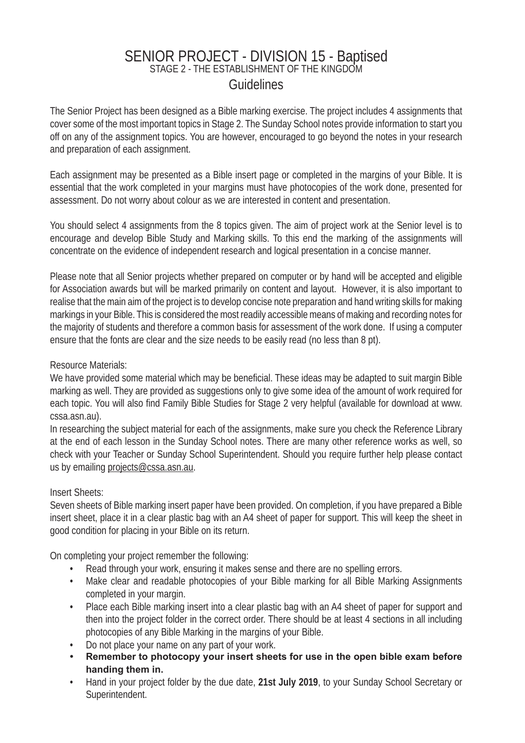# SENIOR PROJECT - DIVISION 15 - Baptised<br>STAGE 2 - THE ESTABLISHMENT OF THE KINGDOM Guidelines

The Senior Project has been designed as a Bible marking exercise. The project includes 4 assignments that cover some of the most important topics in Stage 2. The Sunday School notes provide information to start you off on any of the assignment topics. You are however, encouraged to go beyond the notes in your research and preparation of each assignment.

Each assignment may be presented as a Bible insert page or completed in the margins of your Bible. It is essential that the work completed in your margins must have photocopies of the work done, presented for assessment. Do not worry about colour as we are interested in content and presentation.

You should select 4 assignments from the 8 topics given. The aim of project work at the Senior level is to encourage and develop Bible Study and Marking skills. To this end the marking of the assignments will concentrate on the evidence of independent research and logical presentation in a concise manner.

Please note that all Senior projects whether prepared on computer or by hand will be accepted and eligible for Association awards but will be marked primarily on content and layout. However, it is also important to realise that the main aim of the project is to develop concise note preparation and hand writing skills for making markings in your Bible. This is considered the most readily accessible means of making and recording notes for the majority of students and therefore a common basis for assessment of the work done. If using a computer ensure that the fonts are clear and the size needs to be easily read (no less than 8 pt).

### Resource Materials:

We have provided some material which may be beneficial. These ideas may be adapted to suit margin Bible marking as well. They are provided as suggestions only to give some idea of the amount of work required for each topic. You will also find Family Bible Studies for Stage 2 very helpful (available for download at www. cssa.asn.au).

In researching the subject material for each of the assignments, make sure you check the Reference Library at the end of each lesson in the Sunday School notes. There are many other reference works as well, so check with your Teacher or Sunday School Superintendent. Should you require further help please contact us by emailing projects@cssa.asn.au.

#### Insert Sheets:

Seven sheets of Bible marking insert paper have been provided. On completion, if you have prepared a Bible insert sheet, place it in a clear plastic bag with an A4 sheet of paper for support. This will keep the sheet in good condition for placing in your Bible on its return.

On completing your project remember the following:

- Read through your work, ensuring it makes sense and there are no spelling errors.
- Make clear and readable photocopies of your Bible marking for all Bible Marking Assignments completed in your margin.
- Place each Bible marking insert into a clear plastic bag with an A4 sheet of paper for support and then into the project folder in the correct order. There should be at least 4 sections in all including photocopies of any Bible Marking in the margins of your Bible.
- Do not place your name on any part of your work.
- **Remember to photocopy your insert sheets for use in the open bible exam before handing them in.**
- Hand in your project folder by the due date, **21st July 2019**, to your Sunday School Secretary or Superintendent.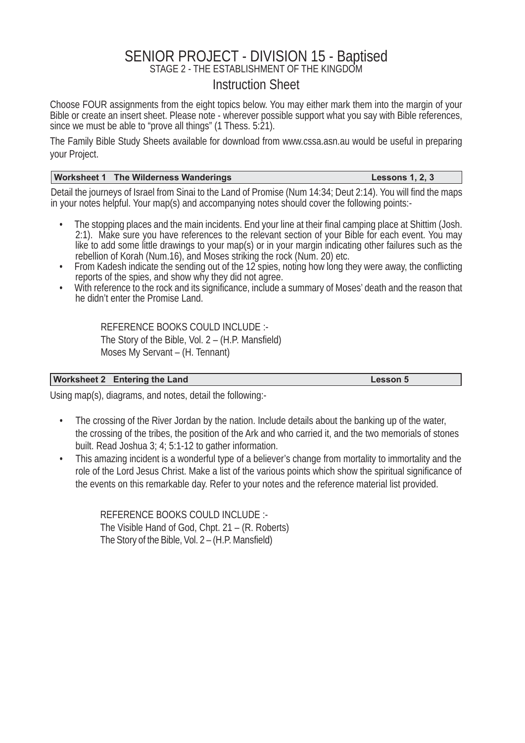# SENIOR PROJECT - DIVISION 15 - Baptised<br>STAGE 2 - THE ESTABLISHMENT OF THE KINGDOM

### Instruction Sheet

Choose FOUR assignments from the eight topics below. You may either mark them into the margin of your Bible or create an insert sheet. Please note - wherever possible support what you say with Bible references, since we must be able to "prove all things" (1 Thess. 5:21).

The Family Bible Study Sheets available for download from www.cssa.asn.au would be useful in preparing your Project.

#### **Worksheet 1 The Wilderness Wanderings Lessons 1, 2, 3**

Detail the journeys of Israel from Sinai to the Land of Promise (Num 14:34; Deut 2:14). You will find the maps in your notes helpful. Your map(s) and accompanying notes should cover the following points:-

- The stopping places and the main incidents. End your line at their final camping place at Shittim (Josh. 2:1). Make sure you have references to the relevant section of your Bible for each event. You may like to add some little drawings to your map(s) or in your margin indicating other failures such as the rebellion of Korah (Num.16), and Moses striking the rock (Num. 20) etc.
- From Kadesh indicate the sending out of the 12 spies, noting how long they were away, the conflicting reports of the spies, and show why they did not agree.
- With reference to the rock and its significance, include a summary of Moses' death and the reason that he didn't enter the Promise Land.

REFERENCE BOOKS COULD INCLUDE :- The Story of the Bible, Vol.  $2 - (H.P.$  Mansfield) Moses My Servant – (H. Tennant)

#### Worksheet 2 Entering the Land Lesson 5

Using map(s), diagrams, and notes, detail the following:-

- The crossing of the River Jordan by the nation. Include details about the banking up of the water, the crossing of the tribes, the position of the Ark and who carried it, and the two memorials of stones built. Read Joshua 3; 4; 5:1-12 to gather information.
- This amazing incident is a wonderful type of a believer's change from mortality to immortality and the role of the Lord Jesus Christ. Make a list of the various points which show the spiritual significance of the events on this remarkable day. Refer to your notes and the reference material list provided.

 REFERENCE BOOKS COULD INCLUDE :- The Visible Hand of God, Chpt. 21 – (R. Roberts) The Story of the Bible, Vol.  $2 - (H.P.$  Mansfield)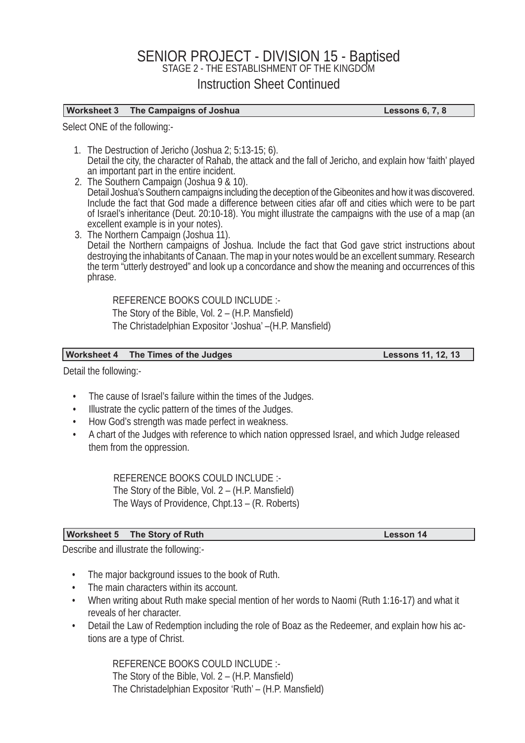## SENIOR PROJECT - DIVISION 15 - Baptised<br>STAGE 2 - THE ESTABLISHMENT OF THE KINGDOM Instruction Sheet Continued

#### **Worksheet 3 The Campaigns of Joshua Lessons 6, 7, 8**

Select ONE of the following:-

- 1. The Destruction of Jericho (Joshua 2; 5:13-15; 6). Detail the city, the character of Rahab, the attack and the fall of Jericho, and explain how 'faith' played an important part in the entire incident.
- 2. The Southern Campaign (Joshua 9 & 10). Detail Joshua's Southern campaigns including the deception of the Gibeonites and how it was discovered. Include the fact that God made a difference between cities afar off and cities which were to be part of Israel's inheritance (Deut. 20:10-18). You might illustrate the campaigns with the use of a map (an excellent example is in your notes).
- 3. The Northern Campaign (Joshua 11). Detail the Northern campaigns of Joshua. Include the fact that God gave strict instructions about destroying the inhabitants of Canaan. The map in your notes would be an excellent summary. Research the term "utterly destroyed" and look up a concordance and show the meaning and occurrences of this phrase.

REFERENCE BOOKS COULD INCLUDE :- The Story of the Bible, Vol.  $2 - (H.P.$  Mansfield) The Christadelphian Expositor 'Joshua' – (H.P. Mansfield)

#### Worksheet 4 The Times of the Judges **Lessons 11, 12, 13**

Detail the following:-

- The cause of Israel's failure within the times of the Judges.
- Illustrate the cyclic pattern of the times of the Judges.
- How God's strength was made perfect in weakness.
- A chart of the Judges with reference to which nation oppressed Israel, and which Judge released them from the oppression.

REFERENCE BOOKS COULD INCLUDE :- The Story of the Bible, Vol.  $2 - (H.P.$  Mansfield) The Ways of Providence, Chpt.13 – (R. Roberts)

#### **Worksheet 5 The Story of Ruth Lesson 14**

Describe and illustrate the following:-

- The major background issues to the book of Ruth.
- The main characters within its account.
- When writing about Ruth make special mention of her words to Naomi (Ruth 1:16-17) and what it reveals of her character.
- Detail the Law of Redemption including the role of Boaz as the Redeemer, and explain how his actions are a type of Christ.

REFERENCE BOOKS COULD INCLUDE :- The Story of the Bible, Vol.  $2 - (H.P.$  Mansfield) The Christadelphian Expositor 'Ruth' – (H.P. Mansfield)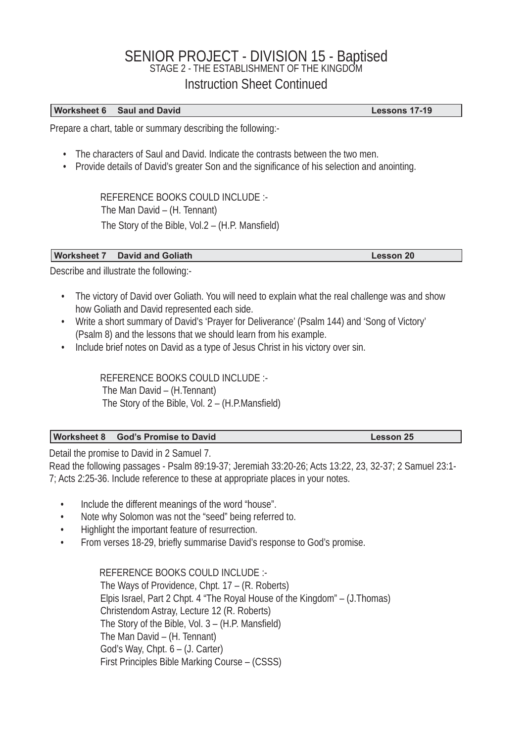# SENIOR PROJECT - DIVISION 15 - Baptised<br>STAGE 2 - THE ESTABLISHMENT OF THE KINGDOM Instruction Sheet Continued

#### **Worksheet 6 Saul and David Community Community Community Community Community Community Community Community Community Community Community Community Community Community Community Community Community Community Community Comm**

Prepare a chart, table or summary describing the following:-

- The characters of Saul and David. Indicate the contrasts between the two men.
- Provide details of David's greater Son and the significance of his selection and anointing.

REFERENCE BOOKS COULD INCLUDE :- The Man David – (H. Tennant) The Story of the Bible, Vol.2  $-$  (H.P. Mansfield)

#### **Worksheet 7 David and Goliath Community Community Community Community Community Community Community Community**

Describe and illustrate the following:-

- The victory of David over Goliath. You will need to explain what the real challenge was and show how Goliath and David represented each side.
- Write a short summary of David's 'Prayer for Deliverance' (Psalm 144) and 'Song of Victory' (Psalm 8) and the lessons that we should learn from his example.
- Include brief notes on David as a type of Jesus Christ in his victory over sin.

REFERENCE BOOKS COULD INCLUDE :- The Man David – (H.Tennant) The Story of the Bible, Vol.  $2 - (H.P.Mansfield)$ 

#### **Worksheet 8 God's Promise to David Contract Contract Contract Contract Contract Contract Contract Contract Contract Contract Contract Contract Contract Contract Contract Contract Contract Contract Contract Contract Contra**

Detail the promise to David in 2 Samuel 7.

Read the following passages - Psalm 89:19-37; Jeremiah 33:20-26; Acts 13:22, 23, 32-37; 2 Samuel 23:1- 7; Acts 2:25-36. Include reference to these at appropriate places in your notes.

- Include the different meanings of the word "house".
- Note why Solomon was not the "seed" being referred to.
- Highlight the important feature of resurrection.
- From verses 18-29, briefly summarise David's response to God's promise.

REFERENCE BOOKS COULD INCLUDE :- The Ways of Providence, Chpt. 17 – (R. Roberts) Elpis Israel, Part 2 Chpt. 4 "The Royal House of the Kingdom" – (J.Thomas) Christendom Astray, Lecture 12 (R. Roberts) The Story of the Bible, Vol.  $3 - (H.P.$  Mansfield) The Man David – (H. Tennant) God's Way, Chpt. 6 – (J. Carter) First Principles Bible Marking Course – (CSSS)